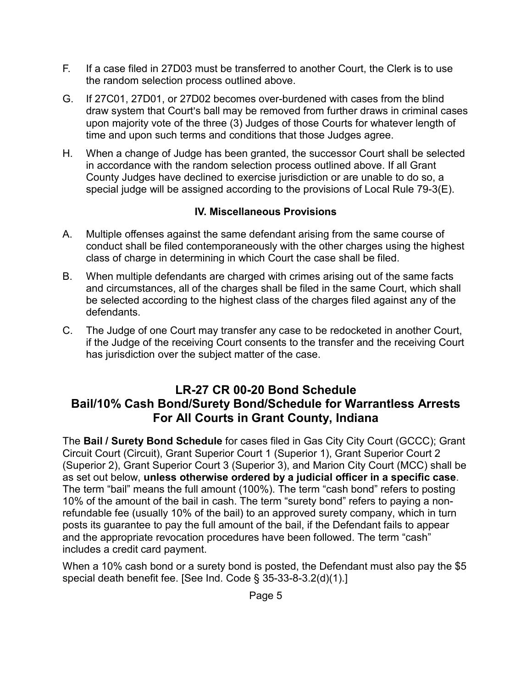- F. If a case filed in 27D03 must be transferred to another Court, the Clerk is to use the random selection process outlined above.
- G. If 27C01, 27D01, or 27D02 becomes over-burdened with cases from the blind draw system that Court's ball may be removed from further draws in criminal cases upon majority vote of the three (3) Judges of those Courts for whatever length of time and upon such terms and conditions that those Judges agree.
- H. When a change of Judge has been granted, the successor Court shall be selected in accordance with the random selection process outlined above. If all Grant County Judges have declined to exercise jurisdiction or are unable to do so, a special judge will be assigned according to the provisions of Local Rule 79-3(E).

## **IV. Miscellaneous Provisions**

- A. Multiple offenses against the same defendant arising from the same course of conduct shall be filed contemporaneously with the other charges using the highest class of charge in determining in which Court the case shall be filed.
- B. When multiple defendants are charged with crimes arising out of the same facts and circumstances, all of the charges shall be filed in the same Court, which shall be selected according to the highest class of the charges filed against any of the defendants.
- C. The Judge of one Court may transfer any case to be redocketed in another Court, if the Judge of the receiving Court consents to the transfer and the receiving Court has jurisdiction over the subject matter of the case.

## **LR-27 CR 00-20 Bond Schedule Bail/10% Cash Bond/Surety Bond/Schedule for Warrantless Arrests For All Courts in Grant County, Indiana**

The **Bail / Surety Bond Schedule** for cases filed in Gas City City Court (GCCC); Grant Circuit Court (Circuit), Grant Superior Court 1 (Superior 1), Grant Superior Court 2 (Superior 2), Grant Superior Court 3 (Superior 3), and Marion City Court (MCC) shall be as set out below, **unless otherwise ordered by a judicial officer in a specific case**. The term "bail" means the full amount (100%). The term "cash bond" refers to posting 10% of the amount of the bail in cash. The term "surety bond" refers to paying a nonrefundable fee (usually 10% of the bail) to an approved surety company, which in turn posts its guarantee to pay the full amount of the bail, if the Defendant fails to appear and the appropriate revocation procedures have been followed. The term "cash" includes a credit card payment.

When a 10% cash bond or a surety bond is posted, the Defendant must also pay the \$5 special death benefit fee. [See Ind. Code § 35-33-8-3.2(d)(1).]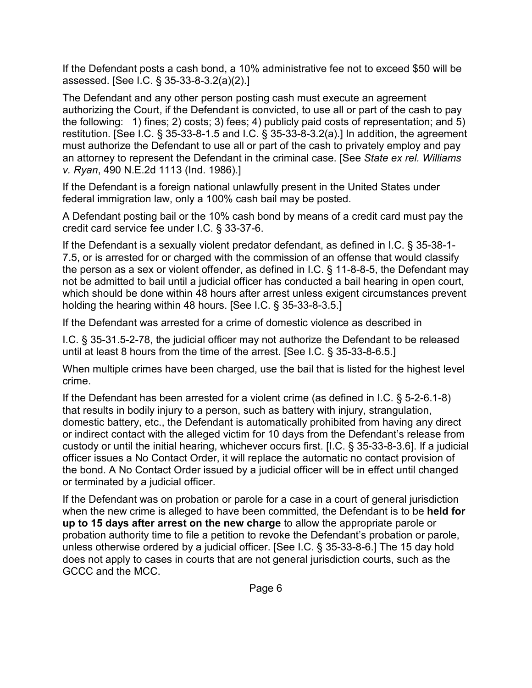If the Defendant posts a cash bond, a 10% administrative fee not to exceed \$50 will be assessed. [See I.C. § 35-33-8-3.2(a)(2).]

The Defendant and any other person posting cash must execute an agreement authorizing the Court, if the Defendant is convicted, to use all or part of the cash to pay the following: 1) fines; 2) costs; 3) fees; 4) publicly paid costs of representation; and 5) restitution. [See I.C.  $\S 35-33-8-1.5$  and I.C.  $\S 35-33-8-3.2(a)$ ] In addition, the agreement must authorize the Defendant to use all or part of the cash to privately employ and pay an attorney to represent the Defendant in the criminal case. [See *State ex rel. Williams v. Ryan*, 490 N.E.2d 1113 (Ind. 1986).]

If the Defendant is a foreign national unlawfully present in the United States under federal immigration law, only a 100% cash bail may be posted.

A Defendant posting bail or the 10% cash bond by means of a credit card must pay the credit card service fee under I.C. § 33-37-6.

If the Defendant is a sexually violent predator defendant, as defined in I.C. § 35-38-1- 7.5, or is arrested for or charged with the commission of an offense that would classify the person as a sex or violent offender, as defined in I.C. § 11-8-8-5, the Defendant may not be admitted to bail until a judicial officer has conducted a bail hearing in open court, which should be done within 48 hours after arrest unless exigent circumstances prevent holding the hearing within 48 hours. [See I.C. § 35-33-8-3.5.]

If the Defendant was arrested for a crime of domestic violence as described in

I.C. § 35-31.5-2-78, the judicial officer may not authorize the Defendant to be released until at least 8 hours from the time of the arrest. [See I.C. § 35-33-8-6.5.]

When multiple crimes have been charged, use the bail that is listed for the highest level crime.

If the Defendant has been arrested for a violent crime (as defined in I.C. § 5-2-6.1-8) that results in bodily injury to a person, such as battery with injury, strangulation, domestic battery, etc., the Defendant is automatically prohibited from having any direct or indirect contact with the alleged victim for 10 days from the Defendant's release from custody or until the initial hearing, whichever occurs first. [I.C. § 35-33-8-3.6]. If a judicial officer issues a No Contact Order, it will replace the automatic no contact provision of the bond. A No Contact Order issued by a judicial officer will be in effect until changed or terminated by a judicial officer.

If the Defendant was on probation or parole for a case in a court of general jurisdiction when the new crime is alleged to have been committed, the Defendant is to be **held for up to 15 days after arrest on the new charge** to allow the appropriate parole or probation authority time to file a petition to revoke the Defendant's probation or parole, unless otherwise ordered by a judicial officer. [See I.C. § 35-33-8-6.] The 15 day hold does not apply to cases in courts that are not general jurisdiction courts, such as the GCCC and the MCC.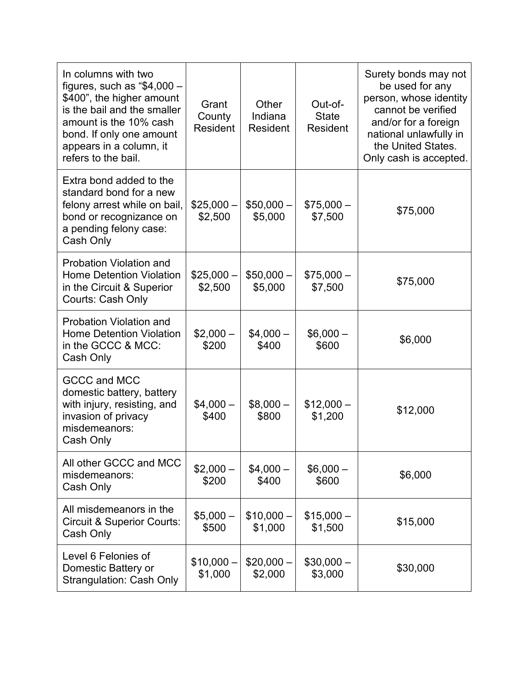| In columns with two<br>figures, such as " $$4,000-$<br>\$400", the higher amount<br>is the bail and the smaller<br>amount is the 10% cash<br>bond. If only one amount<br>appears in a column, it<br>refers to the bail. | Grant<br>County<br>Resident | Other<br>Indiana<br>Resident | Out-of-<br><b>State</b><br>Resident | Surety bonds may not<br>be used for any<br>person, whose identity<br>cannot be verified<br>and/or for a foreign<br>national unlawfully in<br>the United States.<br>Only cash is accepted. |
|-------------------------------------------------------------------------------------------------------------------------------------------------------------------------------------------------------------------------|-----------------------------|------------------------------|-------------------------------------|-------------------------------------------------------------------------------------------------------------------------------------------------------------------------------------------|
| Extra bond added to the<br>standard bond for a new<br>felony arrest while on bail,<br>bond or recognizance on<br>a pending felony case:<br>Cash Only                                                                    | $$25,000-$<br>\$2,500       | $$50,000-$<br>\$5,000        | $$75,000-$<br>\$7,500               | \$75,000                                                                                                                                                                                  |
| Probation Violation and<br><b>Home Detention Violation</b><br>in the Circuit & Superior<br>Courts: Cash Only                                                                                                            | $$25,000-$<br>\$2,500       | $$50,000-$<br>\$5,000        | $$75,000-$<br>\$7,500               | \$75,000                                                                                                                                                                                  |
| Probation Violation and<br><b>Home Detention Violation</b><br>in the GCCC & MCC:<br>Cash Only                                                                                                                           | $$2,000-$<br>\$200          | $$4,000-$<br>\$400           | $$6,000-$<br>\$600                  | \$6,000                                                                                                                                                                                   |
| GCCC and MCC<br>domestic battery, battery<br>with injury, resisting, and<br>invasion of privacy<br>misdemeanors:<br>Cash Only                                                                                           | $$4,000-$<br>\$400          | $$8,000-$<br>\$800           | $$12,000-$<br>\$1,200               | \$12,000                                                                                                                                                                                  |
| All other GCCC and MCC<br>misdemeanors:<br>Cash Only                                                                                                                                                                    | $$2,000-$<br>\$200          | $$4,000-$<br>\$400           | $$6,000-$<br>\$600                  | \$6,000                                                                                                                                                                                   |
| All misdemeanors in the<br><b>Circuit &amp; Superior Courts:</b><br>Cash Only                                                                                                                                           | $$5,000-$<br>\$500          | $$10,000-$<br>\$1,000        | $$15,000-$<br>\$1,500               | \$15,000                                                                                                                                                                                  |
| Level 6 Felonies of<br>Domestic Battery or<br><b>Strangulation: Cash Only</b>                                                                                                                                           | $$10,000-$<br>\$1,000       | $$20,000-$<br>\$2,000        | $$30,000-$<br>\$3,000               | \$30,000                                                                                                                                                                                  |